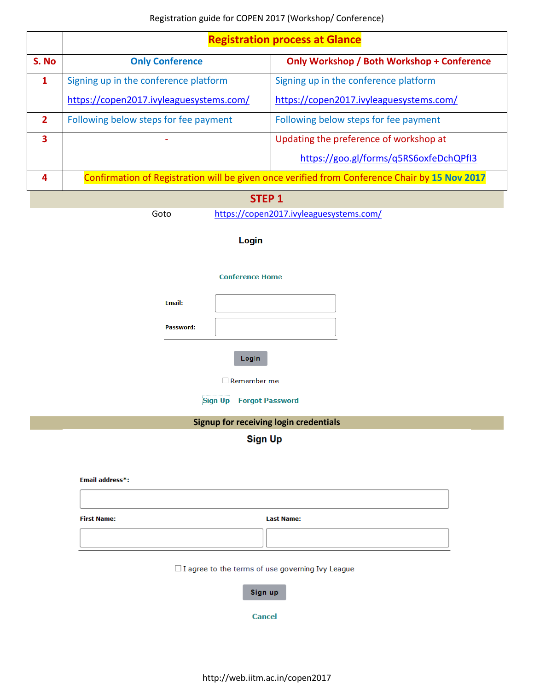|              | <b>Registration process at Glance</b>                                                         |                                            |  |  |  |
|--------------|-----------------------------------------------------------------------------------------------|--------------------------------------------|--|--|--|
| S. No        | <b>Only Conference</b>                                                                        | Only Workshop / Both Workshop + Conference |  |  |  |
| $\mathbf{1}$ | Signing up in the conference platform                                                         | Signing up in the conference platform      |  |  |  |
|              | https://copen2017.ivyleaguesystems.com/                                                       | https://copen2017.ivyleaguesystems.com/    |  |  |  |
| $\mathbf{2}$ | Following below steps for fee payment                                                         | Following below steps for fee payment      |  |  |  |
| 3            | Updating the preference of workshop at                                                        |                                            |  |  |  |
|              |                                                                                               | https://goo.gl/forms/q5RS6oxfeDchQPfI3     |  |  |  |
| 4            | Confirmation of Registration will be given once verified from Conference Chair by 15 Nov 2017 |                                            |  |  |  |
|              |                                                                                               |                                            |  |  |  |

# **STEP 1**

Goto <https://copen2017.ivyleaguesystems.com/>

# Login

#### **Conference Home**

| <b>Email:</b> |  |
|---------------|--|
| Password:     |  |

Login

 $\Box$  Remember me

**Sign Up** Forgot Password

# **Signup for receiving login credentials**

**Sign Up** 

#### **Email address\*:**

**First Name: Last Name:** 

#### $\Box$  I agree to the terms of use governing Ivy League

Sign up

**Cancel**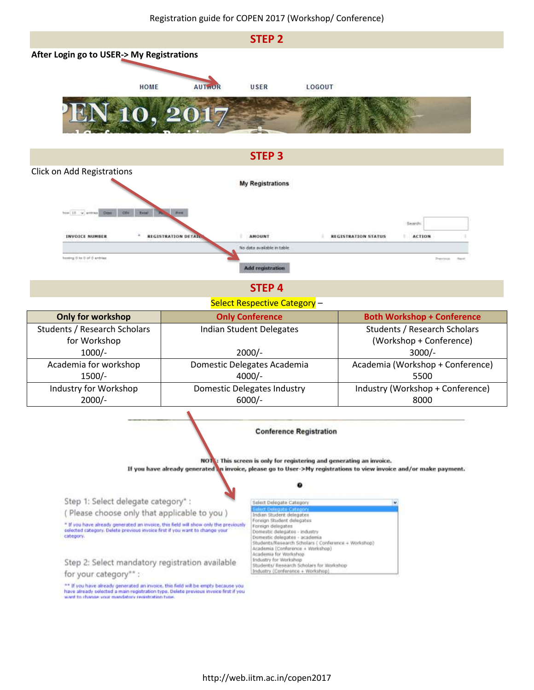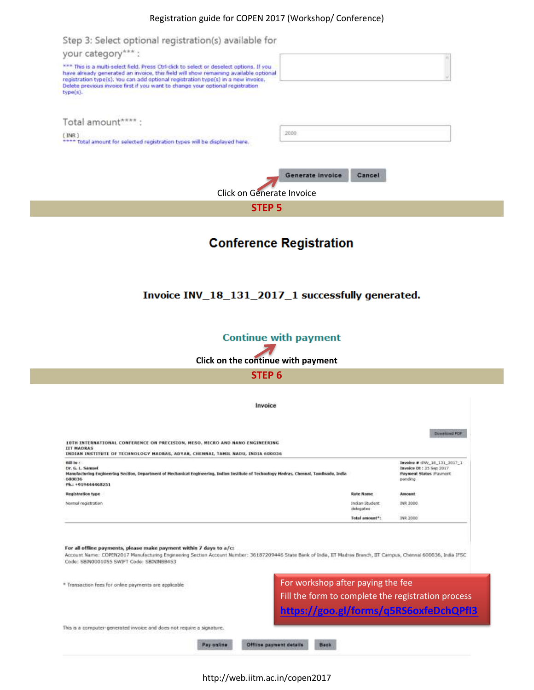#### Registration guide for COPEN 2017 (Workshop/ Conference)



http://web.iitm.ac.in/copen2017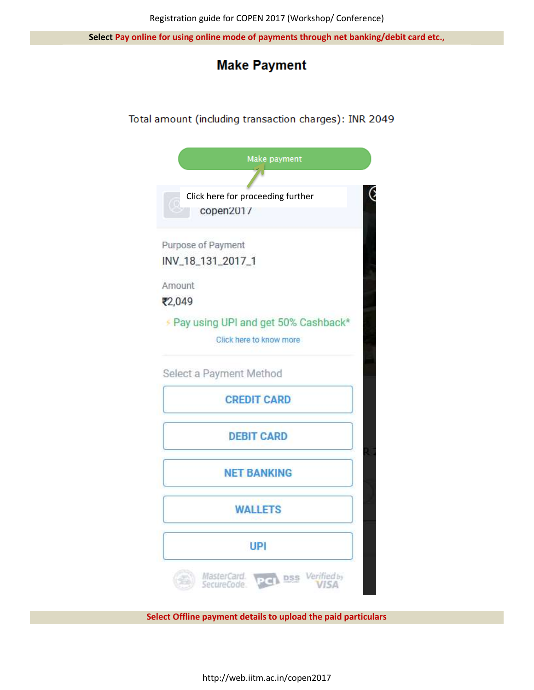**Select Pay online for using online mode of payments through net banking/debit card etc.,**

# **Make Payment**

# Total amount (including transaction charges): INR 2049

| Make payment                                 |  |
|----------------------------------------------|--|
|                                              |  |
| Click here for proceeding further            |  |
| copen201/                                    |  |
| Purpose of Payment                           |  |
| INV_18_131_2017_1                            |  |
| Amount                                       |  |
| ₹2,049                                       |  |
| Pay using UPI and get 50% Cashback*          |  |
| Click here to know more                      |  |
|                                              |  |
| Select a Payment Method                      |  |
| <b>CREDIT CARD</b>                           |  |
| <b>DEBIT CARD</b>                            |  |
|                                              |  |
| <b>NET BANKING</b>                           |  |
|                                              |  |
| <b>WALLETS</b>                               |  |
|                                              |  |
| UPI                                          |  |
| Verified by<br>MasterCard.<br><b>PCI</b> DSS |  |
| SecureCode<br>VISA                           |  |

**Select Offline payment details to upload the paid particulars**